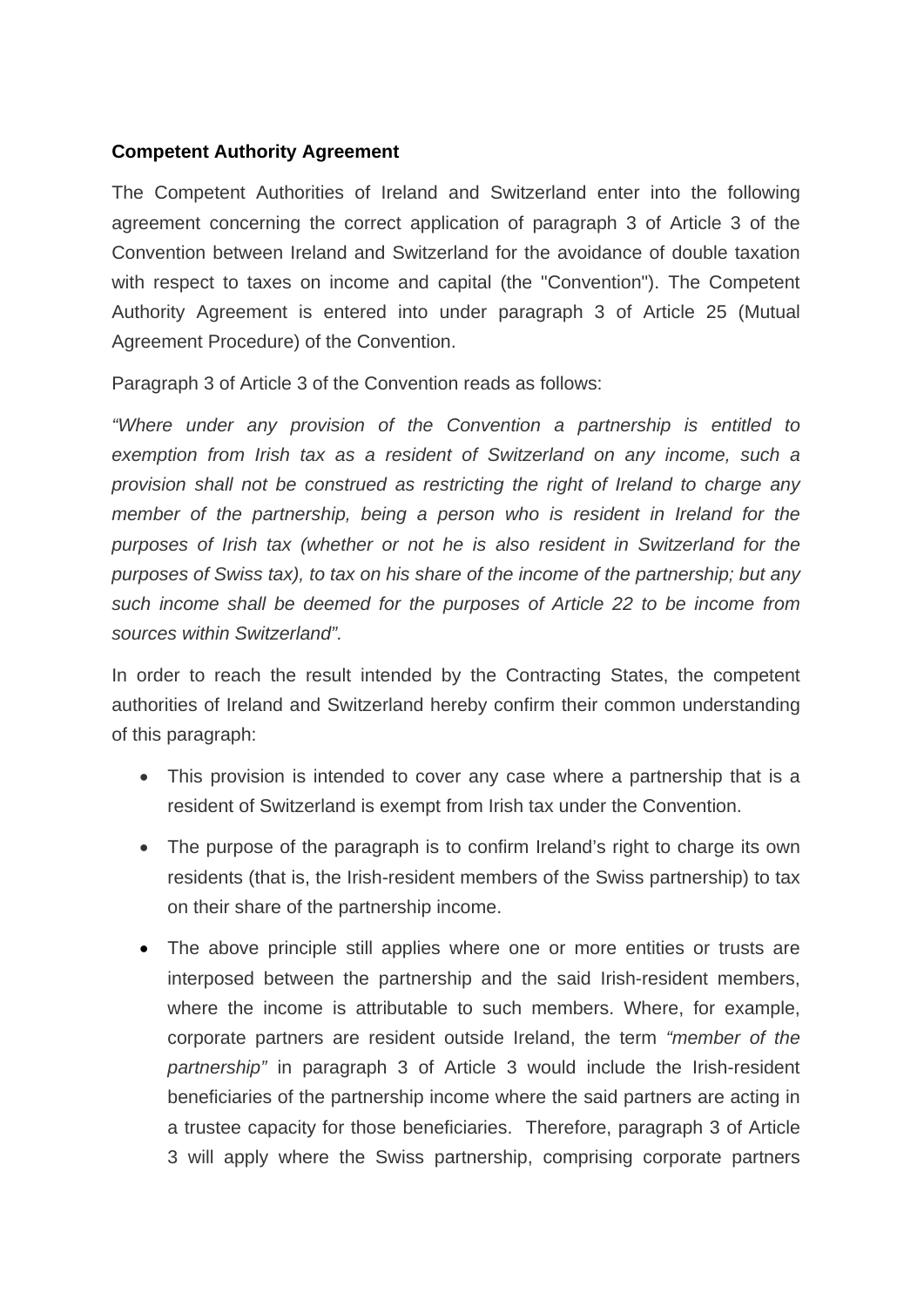## **Competent Authority Agreement**

The Competent Authorities of Ireland and Switzerland enter into the following agreement concerning the correct application of paragraph 3 of Article 3 of the Convention between Ireland and Switzerland for the avoidance of double taxation with respect to taxes on income and capital (the "Convention"). The Competent Authority Agreement is entered into under paragraph 3 of Article 25 (Mutual Agreement Procedure) of the Convention.

Paragraph 3 of Article 3 of the Convention reads as follows:

*"Where under any provision of the Convention a partnership is entitled to exemption from Irish tax as a resident of Switzerland on any income, such a provision shall not be construed as restricting the right of Ireland to charge any member of the partnership, being a person who is resident in Ireland for the purposes of Irish tax (whether or not he is also resident in Switzerland for the purposes of Swiss tax), to tax on his share of the income of the partnership; but any such income shall be deemed for the purposes of Article 22 to be income from sources within Switzerland".* 

In order to reach the result intended by the Contracting States, the competent authorities of Ireland and Switzerland hereby confirm their common understanding of this paragraph:

- This provision is intended to cover any case where a partnership that is a resident of Switzerland is exempt from Irish tax under the Convention.
- The purpose of the paragraph is to confirm Ireland's right to charge its own residents (that is, the Irish-resident members of the Swiss partnership) to tax on their share of the partnership income.
- The above principle still applies where one or more entities or trusts are interposed between the partnership and the said Irish-resident members, where the income is attributable to such members. Where, for example, corporate partners are resident outside Ireland, the term *"member of the partnership"* in paragraph 3 of Article 3 would include the Irish-resident beneficiaries of the partnership income where the said partners are acting in a trustee capacity for those beneficiaries. Therefore, paragraph 3 of Article 3 will apply where the Swiss partnership, comprising corporate partners